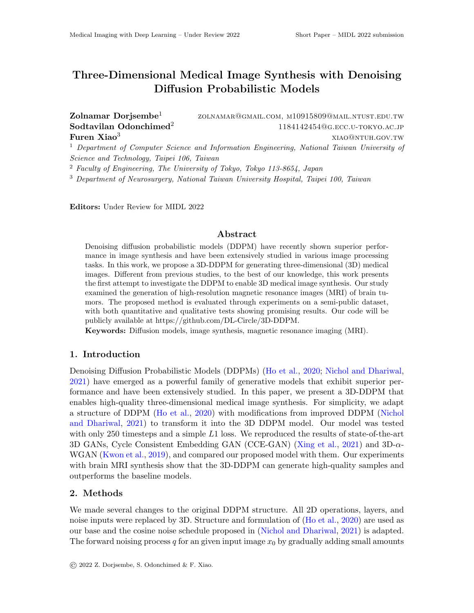# <span id="page-0-0"></span>Three-Dimensional Medical Image Synthesis with Denoising Diffusion Probabilistic Models

#### Zolnamar Dorjsembe<sup>1</sup> zolnamar@gmail.com, m10915809@mail.ntust.edu.tw Sodtavilan Odonchimed<sup>2</sup> 1184142454@g.ecc.u-tokyo.ac.jp Furen  $Xiao<sup>3</sup>$  xiao@ntuh.gov.tw

<sup>1</sup> Department of Computer Science and Information Engineering, National Taiwan University of Science and Technology, Taipei 106, Taiwan

<sup>2</sup> Faculty of Engineering, The University of Tokyo, Tokyo 113-8654, Japan

<sup>3</sup> Department of Neurosurgery, National Taiwan University Hospital, Taipei 100, Taiwan

Editors: Under Review for MIDL 2022

# Abstract

Denoising diffusion probabilistic models (DDPM) have recently shown superior performance in image synthesis and have been extensively studied in various image processing tasks. In this work, we propose a 3D-DDPM for generating three-dimensional (3D) medical images. Different from previous studies, to the best of our knowledge, this work presents the first attempt to investigate the DDPM to enable 3D medical image synthesis. Our study examined the generation of high-resolution magnetic resonance images (MRI) of brain tumors. The proposed method is evaluated through experiments on a semi-public dataset, with both quantitative and qualitative tests showing promising results. Our code will be publicly available at https://github.com/DL-Circle/3D-DDPM.

Keywords: Diffusion models, image synthesis, magnetic resonance imaging (MRI).

### 1. Introduction

Denoising Diffusion Probabilistic Models (DDPMs) [\(Ho et al.,](#page-2-0) [2020;](#page-2-0) [Nichol and Dhariwal,](#page-2-1) [2021\)](#page-2-1) have emerged as a powerful family of generative models that exhibit superior performance and have been extensively studied. In this paper, we present a 3D-DDPM that enables high-quality three-dimensional medical image synthesis. For simplicity, we adapt a structure of DDPM [\(Ho et al.,](#page-2-0) [2020\)](#page-2-0) with modifications from improved DDPM [\(Nichol](#page-2-1) [and Dhariwal,](#page-2-1) [2021\)](#page-2-1) to transform it into the 3D DDPM model. Our model was tested with only 250 timesteps and a simple  $L1$  loss. We reproduced the results of state-of-the-art 3D GANs, Cycle Consistent Embedding GAN (CCE-GAN) [\(Xing et al.,](#page-2-2) [2021\)](#page-2-2) and  $3D-\alpha$ -WGAN [\(Kwon et al.,](#page-2-3) [2019\)](#page-2-3), and compared our proposed model with them. Our experiments with brain MRI synthesis show that the 3D-DDPM can generate high-quality samples and outperforms the baseline models.

# 2. Methods

We made several changes to the original DDPM structure. All 2D operations, layers, and noise inputs were replaced by 3D. Structure and formulation of [\(Ho et al.,](#page-2-0) [2020\)](#page-2-0) are used as our base and the cosine noise schedule proposed in [\(Nichol and Dhariwal,](#page-2-1) [2021\)](#page-2-1) is adapted. The forward noising process q for an given input image  $x_0$  by gradually adding small amounts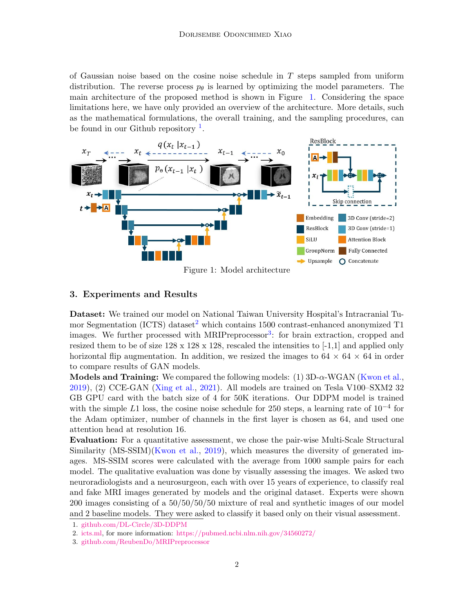of Gaussian noise based on the cosine noise schedule in  $T$  steps sampled from uniform distribution. The reverse process  $p_{\theta}$  is learned by optimizing the model parameters. The main architecture of the proposed method is shown in Figure [1.](#page-1-0) Considering the space limitations here, we have only provided an overview of the architecture. More details, such as the mathematical formulations, the overall training, and the sampling procedures, can be found in our Github repository  $<sup>1</sup>$  $<sup>1</sup>$  $<sup>1</sup>$ .</sup>

<span id="page-1-0"></span>

Figure 1: Model architecture

#### 3. Experiments and Results

Dataset: We trained our model on National Taiwan University Hospital's Intracranial Tu-mor Segmentation (ICTS) dataset<sup>[2](#page-0-0)</sup> which contains 1500 contrast-enhanced anonymized T1 images. We further processed with MRIPreprocessor<sup>[3](#page-0-0)</sup>: for brain extraction, cropped and resized them to be of size  $128 \times 128 \times 128$ , rescaled the intensities to [-1,1] and applied only horizontal flip augmentation. In addition, we resized the images to  $64 \times 64 \times 64$  in order to compare results of GAN models.

Models and Training: We compared the following models:  $(1)$  3D- $\alpha$ -WGAN [\(Kwon et al.,](#page-2-3) [2019\)](#page-2-3), (2) CCE-GAN [\(Xing et al.,](#page-2-2) [2021\)](#page-2-2). All models are trained on Tesla V100–SXM2 32 GB GPU card with the batch size of 4 for 50K iterations. Our DDPM model is trained with the simple L1 loss, the cosine noise schedule for 250 steps, a learning rate of  $10^{-4}$  for the Adam optimizer, number of channels in the first layer is chosen as 64, and used one attention head at resolution 16.

Evaluation: For a quantitative assessment, we chose the pair-wise Multi-Scale Structural Similarity (MS-SSIM)[\(Kwon et al.,](#page-2-3) [2019\)](#page-2-3), which measures the diversity of generated images. MS-SSIM scores were calculated with the average from 1000 sample pairs for each model. The qualitative evaluation was done by visually assessing the images. We asked two neuroradiologists and a neurosurgeon, each with over 15 years of experience, to classify real and fake MRI images generated by models and the original dataset. Experts were shown 200 images consisting of a 50/50/50/50 mixture of real and synthetic images of our model and 2 baseline models. They were asked to classify it based only on their visual assessment.

<sup>1.</sup> [github.com/DL-Circle/3D-DDPM](https://github.com/DL-Circle/3D-DDPM)

<sup>2.</sup> [icts.ml,](https://icts.ml/) for more information: <https://pubmed.ncbi.nlm.nih.gov/34560272/>

<sup>3.</sup> [github.com/ReubenDo/MRIPreprocessor](https://github.com/ReubenDo/MRIPreprocessor)